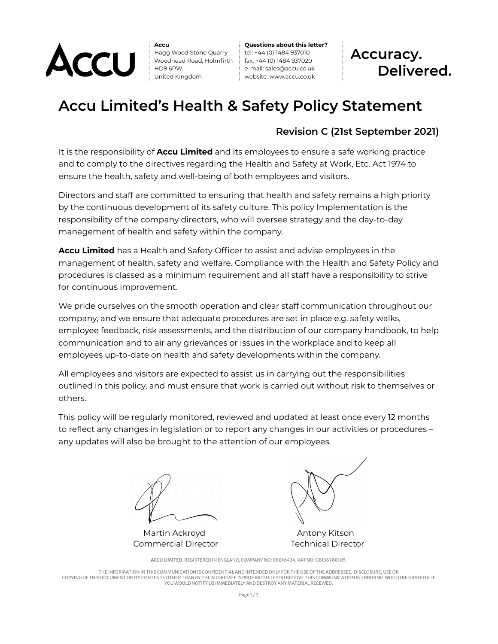

**Accu** Hagg Wood Stone Quarry Woodhead Road, Holmfirth HD9 6PW United Kingdom

**Questions about this letter?** tel: +44 (0) 1484 937010 fax: +44 (0) 1484 937020 e-mail: sales@accu.co.uk website: www.accu.co.uk



## **Accu Limited's Health & Safety Policy Statement**

## **Revision C (21st September 2021)**

It is the responsibility of **Accu Limited** and its employees to ensure a safe working practice and to comply to the directives regarding the Health and Safety at Work, Etc. Act 1974 to ensure the health, safety and well-being of both employees and visitors.

Directors and staff are committed to ensuring that health and safety remains a high priority by the continuous development of its safety culture. This policy Implementation is the responsibility of the company directors, who will oversee strategy and the day-to-day management of health and safety within the company.

**Accu Limited** has a Health and Safety Officer to assist and advise employees in the management of health, safety and welfare. Compliance with the Health and Safety Policy and procedures is classed as a minimum requirement and all staff have a responsibility to strive for continuous improvement.

We pride ourselves on the smooth operation and clear staff communication throughout our company, and we ensure that adequate procedures are set in place e.g. safety walks, employee feedback, risk assessments, and the distribution of our company handbook, to help communication and to air any grievances or issues in the workplace and to keep all employees up-to-date on health and safety developments within the company.

All employees and visitors are expected to assist us in carrying out the responsibilities outlined in this policy, and must ensure that work is carried out without risk to themselves or others.

This policy will be regularly monitored, reviewed and updated at least once every 12 months to reflect any changes in legislation or to report any changes in our activities or procedures – any updates will also be brought to the attention of our employees.

Martin Ackroyd **Antony Kitson** Commercial Director Technical Director



**ACCU LIMITED.** REGISTERED IN ENGLAND, COMPANY NO: 08016434. VAT NO: GB136780105.

THE INFORMATION IN THIS COMMUNICATION IS CONFIDENTIALAND INTENDED ONLY FOR THE USE OF THE ADDRESSEE. DISCLOSURE, USE OR COPYING OF THIS DOCUMENT OR ITS CONTENTS OTHER THAN BY THE ADDRESSEE IS PROHIBITED. IF YOU RECEIVE THIS COMMUNICATION IN ERROR WE WOULD BE GRATEFUL IF YOU WOULD NOTIFY US IMMEDIATELY AND DESTROY ANY MATERIAL RECEIVED.